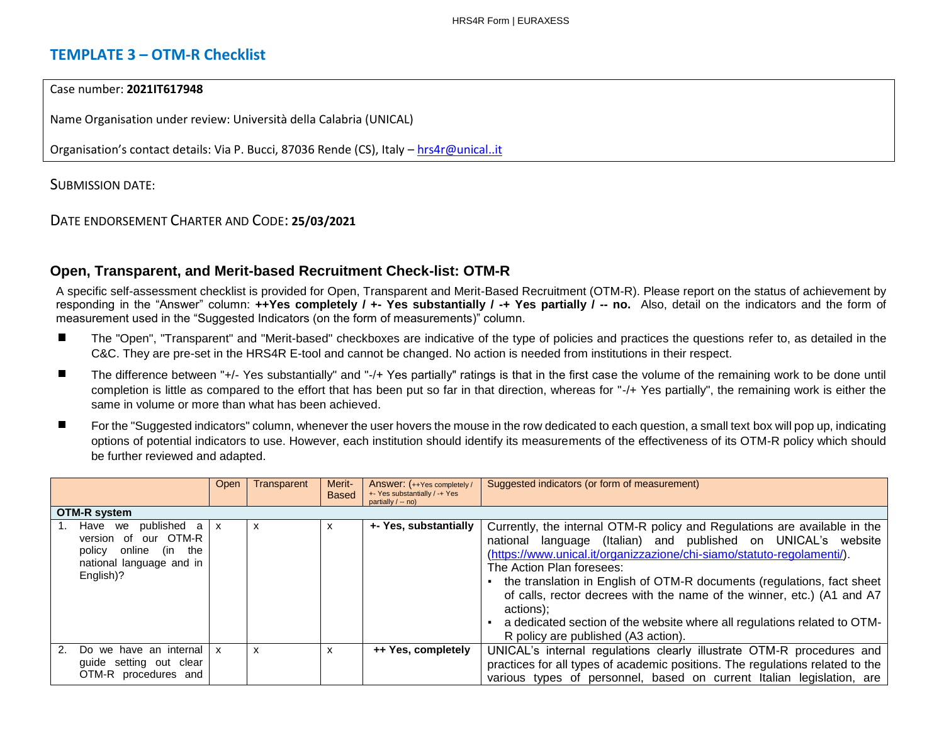# **TEMPLATE 3 – OTM-R Checklist**

### Case number: **2021IT617948**

Name Organisation under review: Università della Calabria (UNICAL)

Organisation's contact details: Via P. Bucci, 87036 Rende (CS), Italy – [hrs4r@unical..it](about:blank)

SUBMISSION DATE:

DATE ENDORSEMENT CHARTER AND CODE: **25/03/2021**

## **Open, Transparent, and Merit-based Recruitment Check-list: OTM-R**

A specific self-assessment checklist is provided for Open, Transparent and Merit-Based Recruitment (OTM-R). Please report on the status of achievement by responding in the "Answer" column: **++Yes completely / +- Yes substantially / -+ Yes partially / -- no.** Also, detail on the indicators and the form of measurement used in the "Suggested Indicators (on the form of measurements)" column.

- The "Open", "Transparent" and "Merit-based" checkboxes are indicative of the type of policies and practices the questions refer to, as detailed in the C&C. They are pre-set in the HRS4R E-tool and cannot be changed. No action is needed from institutions in their respect.
- × The difference between "+/- Yes substantially" and "-/+ Yes partially" ratings is that in the first case the volume of the remaining work to be done until completion is little as compared to the effort that has been put so far in that direction, whereas for "-/+ Yes partially", the remaining work is either the same in volume or more than what has been achieved.
- For the "Suggested indicators" column, whenever the user hovers the mouse in the row dedicated to each question, a small text box will pop up, indicating options of potential indicators to use. However, each institution should identify its measurements of the effectiveness of its OTM-R policy which should be further reviewed and adapted.

|                                                                                                                     | Open | Transparent | Merit-<br><b>Based</b> | Answer: (++Yes completely /<br>+- Yes substantially / -+ Yes<br>partially $/ -$ no) | Suggested indicators (or form of measurement)                                                                                                                                                                                                                                                                                                                                                                                                                                                                                            |
|---------------------------------------------------------------------------------------------------------------------|------|-------------|------------------------|-------------------------------------------------------------------------------------|------------------------------------------------------------------------------------------------------------------------------------------------------------------------------------------------------------------------------------------------------------------------------------------------------------------------------------------------------------------------------------------------------------------------------------------------------------------------------------------------------------------------------------------|
| <b>OTM-R system</b>                                                                                                 |      |             |                        |                                                                                     |                                                                                                                                                                                                                                                                                                                                                                                                                                                                                                                                          |
| published a<br>Have we<br>version of our OTM-R<br>policy online (in<br>the<br>national language and in<br>English)? | X    | x           | x                      | +- Yes, substantially                                                               | Currently, the internal OTM-R policy and Regulations are available in the<br>language (Italian) and published on UNICAL's website<br>national<br>(https://www.unical.it/organizzazione/chi-siamo/statuto-regolamenti/).<br>The Action Plan foresees:<br>the translation in English of OTM-R documents (regulations, fact sheet<br>of calls, rector decrees with the name of the winner, etc.) (A1 and A7<br>actions);<br>a dedicated section of the website where all regulations related to OTM-<br>R policy are published (A3 action). |
| 2 <sub>1</sub><br>Do we have an internal<br>quide setting out clear<br>OTM-R procedures and                         | X    | x           | X                      | ++ Yes, completely                                                                  | UNICAL's internal regulations clearly illustrate OTM-R procedures and<br>practices for all types of academic positions. The regulations related to the<br>various types of personnel, based on current Italian legislation, are                                                                                                                                                                                                                                                                                                          |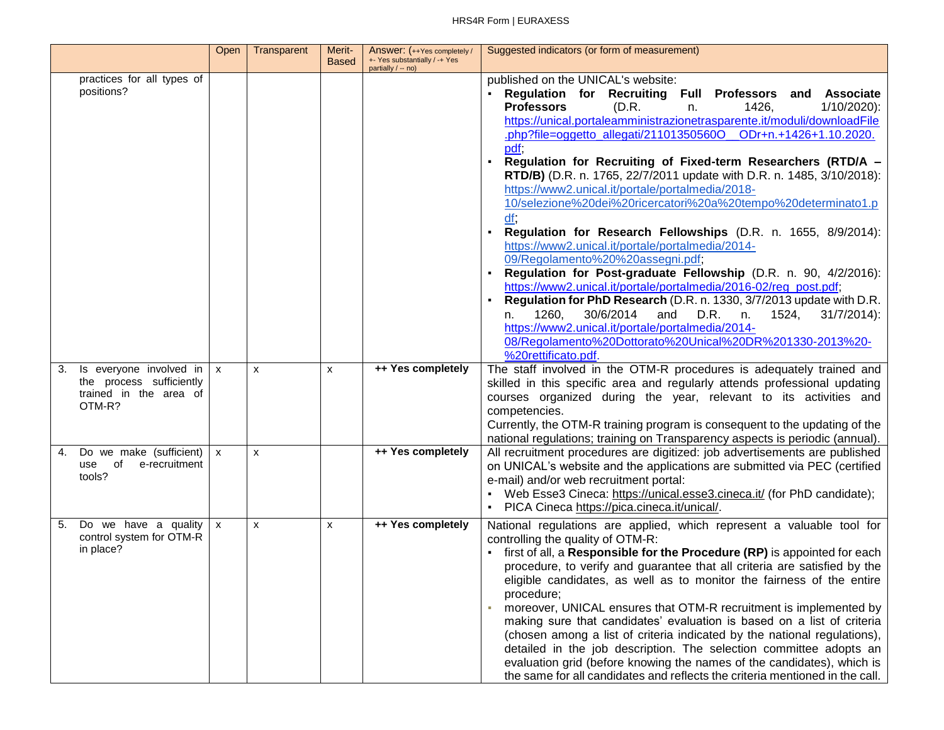#### HRS4R Form | EURAXESS

|                                                                                               | Open         | Transparent | Merit-<br><b>Based</b> | Answer: (++Yes completely /<br>+- Yes substantially / -+ Yes<br>partially / -- no) | Suggested indicators (or form of measurement)                                                                                                                                                                                                                                                                                                                                                                                                                                                                                                                                                                                                                                                                                                                                                                                                                                                                                                                                                                                                                                                                                                                                         |
|-----------------------------------------------------------------------------------------------|--------------|-------------|------------------------|------------------------------------------------------------------------------------|---------------------------------------------------------------------------------------------------------------------------------------------------------------------------------------------------------------------------------------------------------------------------------------------------------------------------------------------------------------------------------------------------------------------------------------------------------------------------------------------------------------------------------------------------------------------------------------------------------------------------------------------------------------------------------------------------------------------------------------------------------------------------------------------------------------------------------------------------------------------------------------------------------------------------------------------------------------------------------------------------------------------------------------------------------------------------------------------------------------------------------------------------------------------------------------|
| practices for all types of<br>positions?                                                      |              |             |                        |                                                                                    | published on the UNICAL's website:<br>Regulation for Recruiting Full Professors and Associate<br><b>Professors</b><br>(D.R.<br>1426,<br>1/10/2020):<br>n.<br>https://unical.portaleamministrazionetrasparente.it/moduli/downloadFile<br>.php?file=oggetto_allegati/21101350560O_ODr+n.+1426+1.10.2020.<br>pdf;<br>Regulation for Recruiting of Fixed-term Researchers (RTD/A -<br>$\blacksquare$<br>RTD/B) (D.R. n. 1765, 22/7/2011 update with D.R. n. 1485, 3/10/2018):<br>https://www2.unical.it/portale/portalmedia/2018-<br>10/selezione%20dei%20ricercatori%20a%20tempo%20determinato1.p<br>Regulation for Research Fellowships (D.R. n. 1655, 8/9/2014):<br>https://www2.unical.it/portale/portalmedia/2014-<br>09/Regolamento%20%20assegni.pdf;<br>Regulation for Post-graduate Fellowship (D.R. n. 90, 4/2/2016):<br>https://www2.unical.it/portale/portalmedia/2016-02/reg_post.pdf;<br>Regulation for PhD Research (D.R. n. 1330, 3/7/2013 update with D.R.<br>1260,<br>30/6/2014<br>D.R. n.<br>1524,<br>$31/7/2014$ :<br>and<br>n.<br>https://www2.unical.it/portale/portalmedia/2014-<br>08/Regolamento%20Dottorato%20Unical%20DR%201330-2013%20-<br>%20rettificato.pdf. |
| Is everyone involved in<br>3.<br>the process sufficiently<br>trained in the area of<br>OTM-R? | $\mathsf{x}$ | X           | X                      | ++ Yes completely                                                                  | The staff involved in the OTM-R procedures is adequately trained and<br>skilled in this specific area and regularly attends professional updating<br>courses organized during the year, relevant to its activities and<br>competencies.<br>Currently, the OTM-R training program is consequent to the updating of the<br>national regulations; training on Transparency aspects is periodic (annual).                                                                                                                                                                                                                                                                                                                                                                                                                                                                                                                                                                                                                                                                                                                                                                                 |
| 4. Do we make (sufficient)<br>use of<br>e-recruitment<br>tools?                               | $\mathsf{x}$ | X           |                        | ++ Yes completely                                                                  | All recruitment procedures are digitized: job advertisements are published<br>on UNICAL's website and the applications are submitted via PEC (certified<br>e-mail) and/or web recruitment portal:<br>Web Esse3 Cineca: https://unical.esse3.cineca.it/ (for PhD candidate);<br>PICA Cineca https://pica.cineca.it/unical/.<br>$\blacksquare$                                                                                                                                                                                                                                                                                                                                                                                                                                                                                                                                                                                                                                                                                                                                                                                                                                          |
| Do we have a quality<br>5.<br>control system for OTM-R<br>in place?                           | $\mathsf{x}$ | X           | X                      | ++ Yes completely                                                                  | National regulations are applied, which represent a valuable tool for<br>controlling the quality of OTM-R:<br>• first of all, a Responsible for the Procedure (RP) is appointed for each<br>procedure, to verify and guarantee that all criteria are satisfied by the<br>eligible candidates, as well as to monitor the fairness of the entire<br>procedure;<br>moreover, UNICAL ensures that OTM-R recruitment is implemented by<br>making sure that candidates' evaluation is based on a list of criteria<br>(chosen among a list of criteria indicated by the national regulations),<br>detailed in the job description. The selection committee adopts an<br>evaluation grid (before knowing the names of the candidates), which is<br>the same for all candidates and reflects the criteria mentioned in the call.                                                                                                                                                                                                                                                                                                                                                               |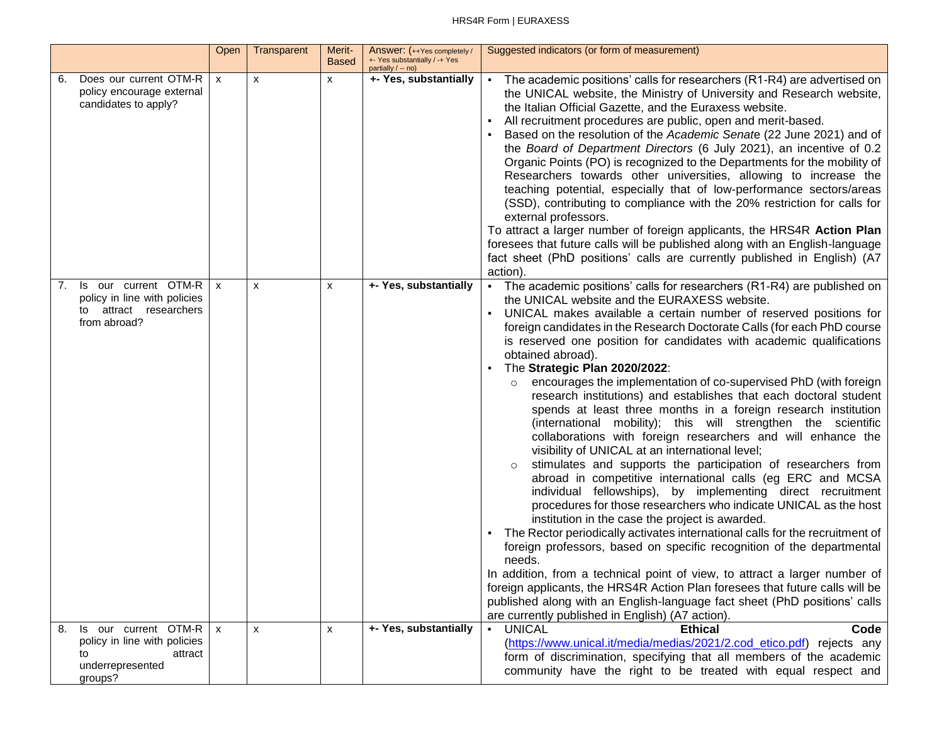#### HRS4R Form | EURAXESS

|                                                                                                            | Open         | Transparent  | Merit-<br><b>Based</b> | Answer: (++Yes completely /<br>+- Yes substantially / -+ Yes<br>partially / -- no) | Suggested indicators (or form of measurement)                                                                                                                                                                                                                                                                                                                                                                                                                                                                                                                                                                                                                                                                                                                                                                                                                                                                                                                                                                                                                                                                                                                                                                                                                                                                                                                                                                                                                                                                                                                                                                     |
|------------------------------------------------------------------------------------------------------------|--------------|--------------|------------------------|------------------------------------------------------------------------------------|-------------------------------------------------------------------------------------------------------------------------------------------------------------------------------------------------------------------------------------------------------------------------------------------------------------------------------------------------------------------------------------------------------------------------------------------------------------------------------------------------------------------------------------------------------------------------------------------------------------------------------------------------------------------------------------------------------------------------------------------------------------------------------------------------------------------------------------------------------------------------------------------------------------------------------------------------------------------------------------------------------------------------------------------------------------------------------------------------------------------------------------------------------------------------------------------------------------------------------------------------------------------------------------------------------------------------------------------------------------------------------------------------------------------------------------------------------------------------------------------------------------------------------------------------------------------------------------------------------------------|
| Does our current OTM-R<br>6.<br>policy encourage external<br>candidates to apply?                          | $\mathsf{x}$ | $\mathsf{x}$ | x                      | +- Yes, substantially                                                              | The academic positions' calls for researchers (R1-R4) are advertised on<br>the UNICAL website, the Ministry of University and Research website,<br>the Italian Official Gazette, and the Euraxess website.<br>All recruitment procedures are public, open and merit-based.<br>Based on the resolution of the Academic Senate (22 June 2021) and of<br>the Board of Department Directors (6 July 2021), an incentive of 0.2<br>Organic Points (PO) is recognized to the Departments for the mobility of<br>Researchers towards other universities, allowing to increase the<br>teaching potential, especially that of low-performance sectors/areas<br>(SSD), contributing to compliance with the 20% restriction for calls for<br>external professors.<br>To attract a larger number of foreign applicants, the HRS4R Action Plan<br>foresees that future calls will be published along with an English-language<br>fact sheet (PhD positions' calls are currently published in English) (A7<br>action).                                                                                                                                                                                                                                                                                                                                                                                                                                                                                                                                                                                                          |
| Is our current OTM-R<br>7.<br>policy in line with policies<br>attract researchers<br>to<br>from abroad?    | $\mathsf{x}$ | X            | X                      | +- Yes, substantially                                                              | The academic positions' calls for researchers (R1-R4) are published on<br>$\blacksquare$<br>the UNICAL website and the EURAXESS website.<br>UNICAL makes available a certain number of reserved positions for<br>foreign candidates in the Research Doctorate Calls (for each PhD course<br>is reserved one position for candidates with academic qualifications<br>obtained abroad).<br>The Strategic Plan 2020/2022:<br>٠<br>encourages the implementation of co-supervised PhD (with foreign<br>research institutions) and establishes that each doctoral student<br>spends at least three months in a foreign research institution<br>(international mobility); this will strengthen the scientific<br>collaborations with foreign researchers and will enhance the<br>visibility of UNICAL at an international level;<br>stimulates and supports the participation of researchers from<br>abroad in competitive international calls (eg ERC and MCSA<br>individual fellowships), by implementing direct recruitment<br>procedures for those researchers who indicate UNICAL as the host<br>institution in the case the project is awarded.<br>The Rector periodically activates international calls for the recruitment of<br>foreign professors, based on specific recognition of the departmental<br>needs.<br>In addition, from a technical point of view, to attract a larger number of<br>foreign applicants, the HRS4R Action Plan foresees that future calls will be<br>published along with an English-language fact sheet (PhD positions' calls<br>are currently published in English) (A7 action). |
| Is our current OTM-R<br>8.<br>policy in line with policies<br>to<br>attract<br>underrepresented<br>groups? | $\mathsf{x}$ | X            | X                      | +- Yes, substantially                                                              | <b>UNICAL</b><br>$\blacksquare$<br><b>Ethical</b><br>Code<br>(https://www.unical.it/media/medias/2021/2.cod_etico.pdf) rejects any<br>form of discrimination, specifying that all members of the academic<br>community have the right to be treated with equal respect and                                                                                                                                                                                                                                                                                                                                                                                                                                                                                                                                                                                                                                                                                                                                                                                                                                                                                                                                                                                                                                                                                                                                                                                                                                                                                                                                        |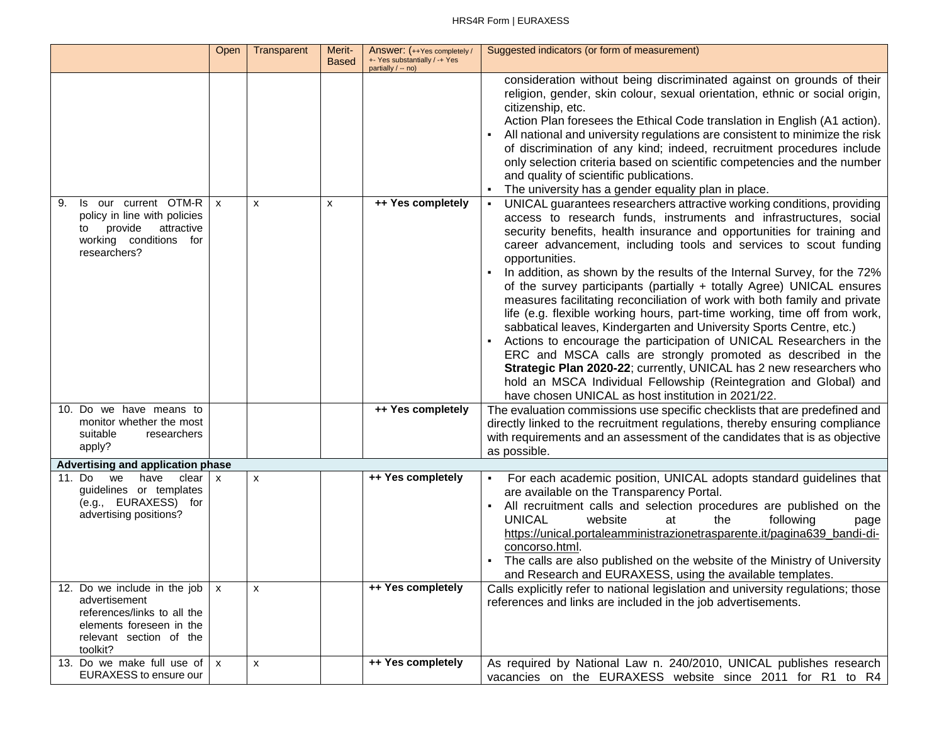|                                                                                                                                            | Open              | Transparent | Merit-<br><b>Based</b> | Answer: (++Yes completely /<br>+- Yes substantially / -+ Yes<br>partially / -- no) | Suggested indicators (or form of measurement)                                                                                                                                                                                                                                                                                                                                                                                                                                                                                                                                                                                                                                                                                                                                                                                                                                                                                                                                                                                               |
|--------------------------------------------------------------------------------------------------------------------------------------------|-------------------|-------------|------------------------|------------------------------------------------------------------------------------|---------------------------------------------------------------------------------------------------------------------------------------------------------------------------------------------------------------------------------------------------------------------------------------------------------------------------------------------------------------------------------------------------------------------------------------------------------------------------------------------------------------------------------------------------------------------------------------------------------------------------------------------------------------------------------------------------------------------------------------------------------------------------------------------------------------------------------------------------------------------------------------------------------------------------------------------------------------------------------------------------------------------------------------------|
|                                                                                                                                            |                   |             |                        |                                                                                    | consideration without being discriminated against on grounds of their<br>religion, gender, skin colour, sexual orientation, ethnic or social origin,<br>citizenship, etc.<br>Action Plan foresees the Ethical Code translation in English (A1 action).<br>All national and university regulations are consistent to minimize the risk<br>of discrimination of any kind; indeed, recruitment procedures include<br>only selection criteria based on scientific competencies and the number<br>and quality of scientific publications.<br>The university has a gender equality plan in place.                                                                                                                                                                                                                                                                                                                                                                                                                                                 |
| Is our current OTM-R<br>9.<br>policy in line with policies<br>provide<br>attractive<br>to<br>working conditions for<br>researchers?        | $\mathsf{x}$      | x           | X                      | ++ Yes completely                                                                  | UNICAL guarantees researchers attractive working conditions, providing<br>access to research funds, instruments and infrastructures, social<br>security benefits, health insurance and opportunities for training and<br>career advancement, including tools and services to scout funding<br>opportunities.<br>In addition, as shown by the results of the Internal Survey, for the 72%<br>of the survey participants (partially + totally Agree) UNICAL ensures<br>measures facilitating reconciliation of work with both family and private<br>life (e.g. flexible working hours, part-time working, time off from work,<br>sabbatical leaves, Kindergarten and University Sports Centre, etc.)<br>Actions to encourage the participation of UNICAL Researchers in the<br>ERC and MSCA calls are strongly promoted as described in the<br>Strategic Plan 2020-22; currently, UNICAL has 2 new researchers who<br>hold an MSCA Individual Fellowship (Reintegration and Global) and<br>have chosen UNICAL as host institution in 2021/22. |
| 10. Do we have means to<br>monitor whether the most<br>suitable<br>researchers<br>apply?                                                   |                   |             |                        | ++ Yes completely                                                                  | The evaluation commissions use specific checklists that are predefined and<br>directly linked to the recruitment regulations, thereby ensuring compliance<br>with requirements and an assessment of the candidates that is as objective<br>as possible.                                                                                                                                                                                                                                                                                                                                                                                                                                                                                                                                                                                                                                                                                                                                                                                     |
| Advertising and application phase                                                                                                          |                   |             |                        |                                                                                    |                                                                                                                                                                                                                                                                                                                                                                                                                                                                                                                                                                                                                                                                                                                                                                                                                                                                                                                                                                                                                                             |
| 11. Do<br>we<br>have<br>clear<br>guidelines or templates<br>(e.g., EURAXESS) for<br>advertising positions?<br>12. Do we include in the job | X<br>$\mathbf{x}$ | X<br>X      |                        | ++ Yes completely<br>++ Yes completely                                             | For each academic position, UNICAL adopts standard guidelines that<br>are available on the Transparency Portal.<br>All recruitment calls and selection procedures are published on the<br><b>UNICAL</b><br>website<br>following<br>the<br>at<br>page<br>https://unical.portaleamministrazionetrasparente.it/pagina639 bandi-di-<br>concorso.html.<br>The calls are also published on the website of the Ministry of University<br>and Research and EURAXESS, using the available templates.<br>Calls explicitly refer to national legislation and university regulations; those                                                                                                                                                                                                                                                                                                                                                                                                                                                             |
| advertisement<br>references/links to all the<br>elements foreseen in the<br>relevant section of the<br>toolkit?                            |                   |             |                        |                                                                                    | references and links are included in the job advertisements.                                                                                                                                                                                                                                                                                                                                                                                                                                                                                                                                                                                                                                                                                                                                                                                                                                                                                                                                                                                |
| 13. Do we make full use of $x$<br>EURAXESS to ensure our                                                                                   |                   | X           |                        | ++ Yes completely                                                                  | As required by National Law n. 240/2010, UNICAL publishes research<br>vacancies on the EURAXESS website since 2011 for R1 to R4                                                                                                                                                                                                                                                                                                                                                                                                                                                                                                                                                                                                                                                                                                                                                                                                                                                                                                             |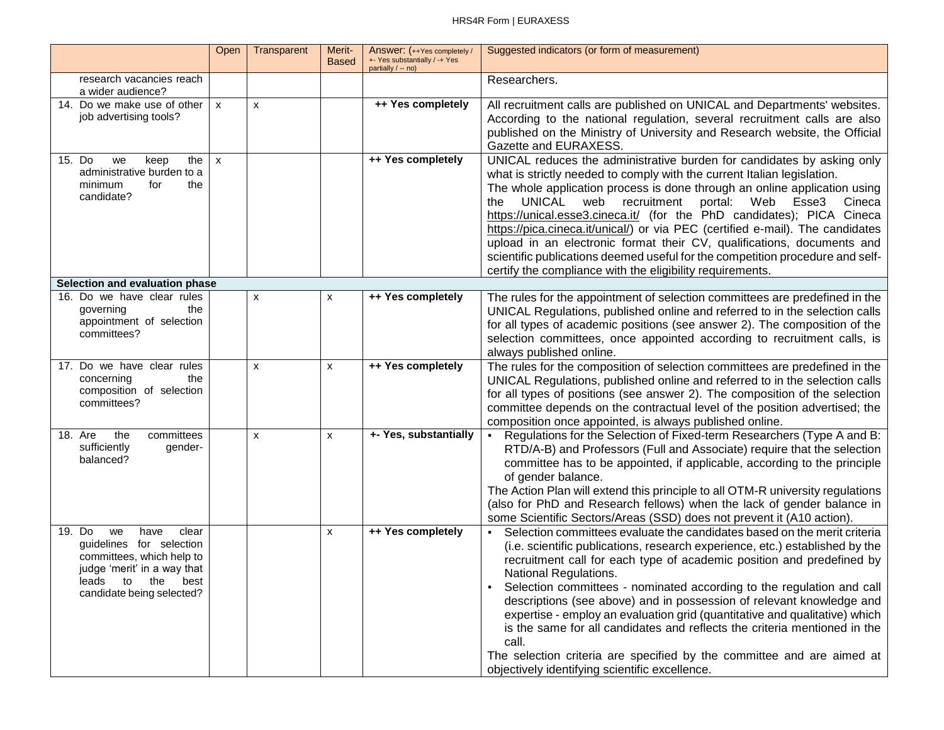|                                                                                                                                                                         | Open                      | Transparent | Merit-<br><b>Based</b> | Answer: (++Yes completely /<br>+- Yes substantially / -+ Yes<br>partially / -- no) | Suggested indicators (or form of measurement)                                                                                                                                                                                                                                                                                                                                                                                                                                                                                                                                                                                                                                                               |
|-------------------------------------------------------------------------------------------------------------------------------------------------------------------------|---------------------------|-------------|------------------------|------------------------------------------------------------------------------------|-------------------------------------------------------------------------------------------------------------------------------------------------------------------------------------------------------------------------------------------------------------------------------------------------------------------------------------------------------------------------------------------------------------------------------------------------------------------------------------------------------------------------------------------------------------------------------------------------------------------------------------------------------------------------------------------------------------|
| research vacancies reach<br>a wider audience?                                                                                                                           |                           |             |                        |                                                                                    | Researchers.                                                                                                                                                                                                                                                                                                                                                                                                                                                                                                                                                                                                                                                                                                |
| 14. Do we make use of other<br>job advertising tools?                                                                                                                   | $\mathsf{x}$              | X           |                        | ++ Yes completely                                                                  | All recruitment calls are published on UNICAL and Departments' websites.<br>According to the national regulation, several recruitment calls are also<br>published on the Ministry of University and Research website, the Official<br>Gazette and EURAXESS.                                                                                                                                                                                                                                                                                                                                                                                                                                                 |
| 15. Do<br>the<br>we<br>keep<br>administrative burden to a<br>the<br>minimum<br>for<br>candidate?                                                                        | $\boldsymbol{\mathsf{x}}$ |             |                        | ++ Yes completely                                                                  | UNICAL reduces the administrative burden for candidates by asking only<br>what is strictly needed to comply with the current Italian legislation.<br>The whole application process is done through an online application using<br>UNICAL<br>web recruitment<br>Web<br>the<br>portal:<br>Esse3<br>Cineca<br>https://unical.esse3.cineca.it/ (for the PhD candidates); PICA Cineca<br>https://pica.cineca.it/unical/) or via PEC (certified e-mail). The candidates<br>upload in an electronic format their CV, qualifications, documents and<br>scientific publications deemed useful for the competition procedure and self-<br>certify the compliance with the eligibility requirements.                   |
| Selection and evaluation phase                                                                                                                                          |                           |             |                        |                                                                                    |                                                                                                                                                                                                                                                                                                                                                                                                                                                                                                                                                                                                                                                                                                             |
| 16. Do we have clear rules<br>governing<br>the<br>appointment of selection<br>committees?                                                                               |                           | X           | x                      | ++ Yes completely                                                                  | The rules for the appointment of selection committees are predefined in the<br>UNICAL Regulations, published online and referred to in the selection calls<br>for all types of academic positions (see answer 2). The composition of the<br>selection committees, once appointed according to recruitment calls, is<br>always published online.                                                                                                                                                                                                                                                                                                                                                             |
| 17. Do we have clear rules<br>concerning<br>the<br>composition of selection<br>committees?                                                                              |                           | X           | X                      | ++ Yes completely                                                                  | The rules for the composition of selection committees are predefined in the<br>UNICAL Regulations, published online and referred to in the selection calls<br>for all types of positions (see answer 2). The composition of the selection<br>committee depends on the contractual level of the position advertised; the<br>composition once appointed, is always published online.                                                                                                                                                                                                                                                                                                                          |
| 18. Are<br>the<br>committees<br>sufficiently<br>gender-<br>balanced?                                                                                                    |                           | X           | X                      | +- Yes, substantially                                                              | Regulations for the Selection of Fixed-term Researchers (Type A and B:<br>$\blacksquare$<br>RTD/A-B) and Professors (Full and Associate) require that the selection<br>committee has to be appointed, if applicable, according to the principle<br>of gender balance.<br>The Action Plan will extend this principle to all OTM-R university regulations<br>(also for PhD and Research fellows) when the lack of gender balance in<br>some Scientific Sectors/Areas (SSD) does not prevent it (A10 action).                                                                                                                                                                                                  |
| 19. Do<br>have<br>clear<br>we<br>guidelines for selection<br>committees, which help to<br>judge 'merit' in a way that<br>leads to the best<br>candidate being selected? |                           |             | X                      | ++ Yes completely                                                                  | Selection committees evaluate the candidates based on the merit criteria<br>(i.e. scientific publications, research experience, etc.) established by the<br>recruitment call for each type of academic position and predefined by<br>National Regulations.<br>Selection committees - nominated according to the regulation and call<br>descriptions (see above) and in possession of relevant knowledge and<br>expertise - employ an evaluation grid (quantitative and qualitative) which<br>is the same for all candidates and reflects the criteria mentioned in the<br>call.<br>The selection criteria are specified by the committee and are aimed at<br>objectively identifying scientific excellence. |